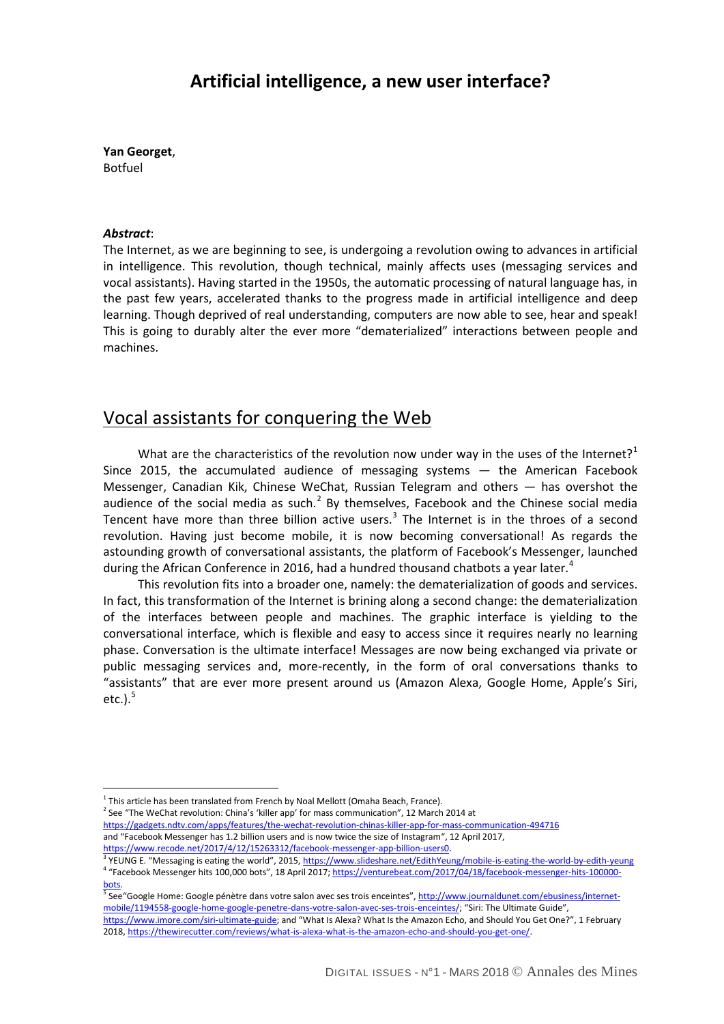### **Artificial intelligence, a new user interface?**

**Yan Georget**, Botfuel

#### *Abstract*:

 $\overline{a}$ 

The Internet, as we are beginning to see, is undergoing a revolution owing to advances in artificial in intelligence. This revolution, though technical, mainly affects uses (messaging services and vocal assistants). Having started in the 1950s, the automatic processing of natural language has, in the past few years, accelerated thanks to the progress made in artificial intelligence and deep learning. Though deprived of real understanding, computers are now able to see, hear and speak! This is going to durably alter the ever more "dematerialized" interactions between people and machines.

### Vocal assistants for conquering the Web

What are the characteristics of the revolution now under way in the uses of the Internet?<sup>[1](#page-0-0)</sup> Since 2015, the accumulated audience of messaging systems — the American Facebook Messenger, Canadian Kik, Chinese WeChat, Russian Telegram and others — has overshot the audience of the social media as such. $<sup>2</sup>$  $<sup>2</sup>$  $<sup>2</sup>$  By themselves, Facebook and the Chinese social media</sup> Tencent have more than three billion active users. $3$  The Internet is in the throes of a second revolution. Having just become mobile, it is now becoming conversational! As regards the astounding growth of conversational assistants, the platform of Facebook's Messenger, launched during the African Conference in 2016, had a hundred thousand chatbots a year later.<sup>[4](#page-0-3)</sup>

This revolution fits into a broader one, namely: the dematerialization of goods and services. In fact, this transformation of the Internet is brining along a second change: the dematerialization of the interfaces between people and machines. The graphic interface is yielding to the conversational interface, which is flexible and easy to access since it requires nearly no learning phase. Conversation is the ultimate interface! Messages are now being exchanged via private or public messaging services and, more-recently, in the form of oral conversations thanks to "assistants" that are ever more present around us (Amazon Alexa, Google Home, Apple's Siri, etc.). $<sup>5</sup>$  $<sup>5</sup>$  $<sup>5</sup>$ </sup>

<span id="page-0-1"></span><span id="page-0-0"></span> $<sup>2</sup>$  See "The WeChat revolution: China's 'killer app' for mass communication", 12 March 2014 at</sup> <https://gadgets.ndtv.com/apps/features/the-wechat-revolution-chinas-killer-app-for-mass-communication-494716> and "Facebook Messenger has 1.2 billion users and is now twice the size of Instagram", 12 April 2017,

 $1$  This article has been translated from French by Noal Mellott (Omaha Beach, France).

https://www.recode.net/2017/4/12/15263312/facebook-messenger-app-billion-users0.<br><sup>3</sup> YEUNG E. "Messaging is eating the world", 2015[, https://www.slideshare.net/EdithYeung/mobile-is-eating-the-world-by-edith-yeung](https://www.slideshare.net/EdithYeung/mobile-is-eating-the-world-by-edith-yeung)

<span id="page-0-3"></span><span id="page-0-2"></span><sup>4</sup> "Facebook Messenger hits 100,000 bots", 18 April 2017[; https://venturebeat.com/2017/04/18/facebook-messenger-hits-100000-](https://venturebeat.com/2017/04/18/facebook-messenger-hits-100000-bots)

<span id="page-0-4"></span>[<sup>5</sup>](https://venturebeat.com/2017/04/18/facebook-messenger-hits-100000-bots) See "Google Home: Google pénètre dans votre salon avec ses trois enceintes"[, http://www.journaldunet.com/ebusiness/internet](http://www.journaldunet.com/ebusiness/internet-mobile/1194558-google-home-google-penetre-dans-votre-salon-avec-ses-trois-enceintes/)[mobile/1194558-google-home-google-penetre-dans-votre-salon-avec-ses-trois-enceintes/;](http://www.journaldunet.com/ebusiness/internet-mobile/1194558-google-home-google-penetre-dans-votre-salon-avec-ses-trois-enceintes/) "Siri: The Ultimate Guide",

[https://www.imore.com/siri-ultimate-guide;](https://www.imore.com/siri-ultimate-guide) and "What Is Alexa? What Is the Amazon Echo, and Should You Get One?", 1 February 2018[, https://thewirecutter.com/reviews/what-is-alexa-what-is-the-amazon-echo-and-should-you-get-one/.](https://thewirecutter.com/reviews/what-is-alexa-what-is-the-amazon-echo-and-should-you-get-one/)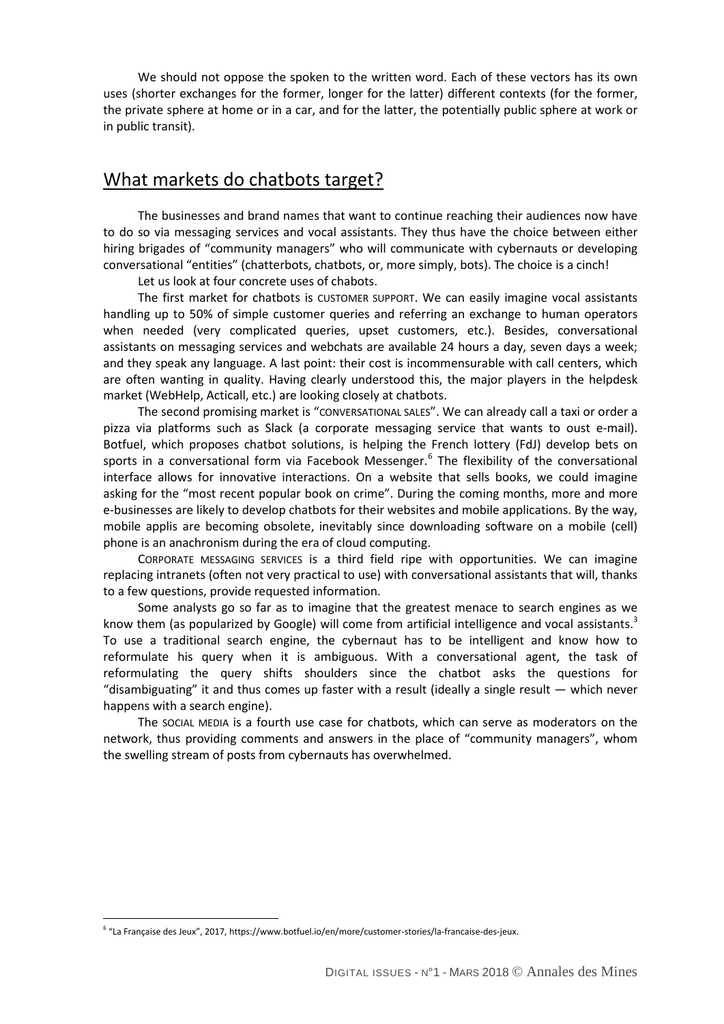We should not oppose the spoken to the written word. Each of these vectors has its own uses (shorter exchanges for the former, longer for the latter) different contexts (for the former, the private sphere at home or in a car, and for the latter, the potentially public sphere at work or in public transit).

### What markets do chatbots target?

The businesses and brand names that want to continue reaching their audiences now have to do so via messaging services and vocal assistants. They thus have the choice between either hiring brigades of "community managers" who will communicate with cybernauts or developing conversational "entities" (chatterbots, chatbots, or, more simply, bots). The choice is a cinch!

Let us look at four concrete uses of chabots.

The first market for chatbots is CUSTOMER SUPPORT. We can easily imagine vocal assistants handling up to 50% of simple customer queries and referring an exchange to human operators when needed (very complicated queries, upset customers, etc.). Besides, conversational assistants on messaging services and webchats are available 24 hours a day, seven days a week; and they speak any language. A last point: their cost is incommensurable with call centers, which are often wanting in quality. Having clearly understood this, the major players in the helpdesk market (WebHelp, Acticall, etc.) are looking closely at chatbots.

The second promising market is "CONVERSATIONAL SALES". We can already call a taxi or order a pizza via platforms such as Slack (a corporate messaging service that wants to oust e-mail). Botfuel, which proposes chatbot solutions, is helping the French lottery (FdJ) develop bets on sports in a conversational form via Facebook Messenger.<sup>[6](#page-1-0)</sup> The flexibility of the conversational interface allows for innovative interactions. On a website that sells books, we could imagine asking for the "most recent popular book on crime". During the coming months, more and more e-businesses are likely to develop chatbots for their websites and mobile applications. By the way, mobile applis are becoming obsolete, inevitably since downloading software on a mobile (cell) phone is an anachronism during the era of cloud computing.

 CORPORATE MESSAGING SERVICES is a third field ripe with opportunities. We can imagine replacing intranets (often not very practical to use) with conversational assistants that will, thanks to a few questions, provide requested information.

Some analysts go so far as to imagine that the greatest menace to search engines as we know them (as popularized by Google) will come from artificial intelligence and vocal assistants.<sup>3</sup> To use a traditional search engine, the cybernaut has to be intelligent and know how to reformulate his query when it is ambiguous. With a conversational agent, the task of reformulating the query shifts shoulders since the chatbot asks the questions for "disambiguating" it and thus comes up faster with a result (ideally a single result — which never happens with a search engine).

The SOCIAL MEDIA is a fourth use case for chatbots, which can serve as moderators on the network, thus providing comments and answers in the place of "community managers", whom the swelling stream of posts from cybernauts has overwhelmed.

 $\overline{a}$ 

<span id="page-1-0"></span><sup>6</sup> "La Française des Jeux", 2017, https://www.botfuel.io/en/more/customer-stories/la-francaise-des-jeux.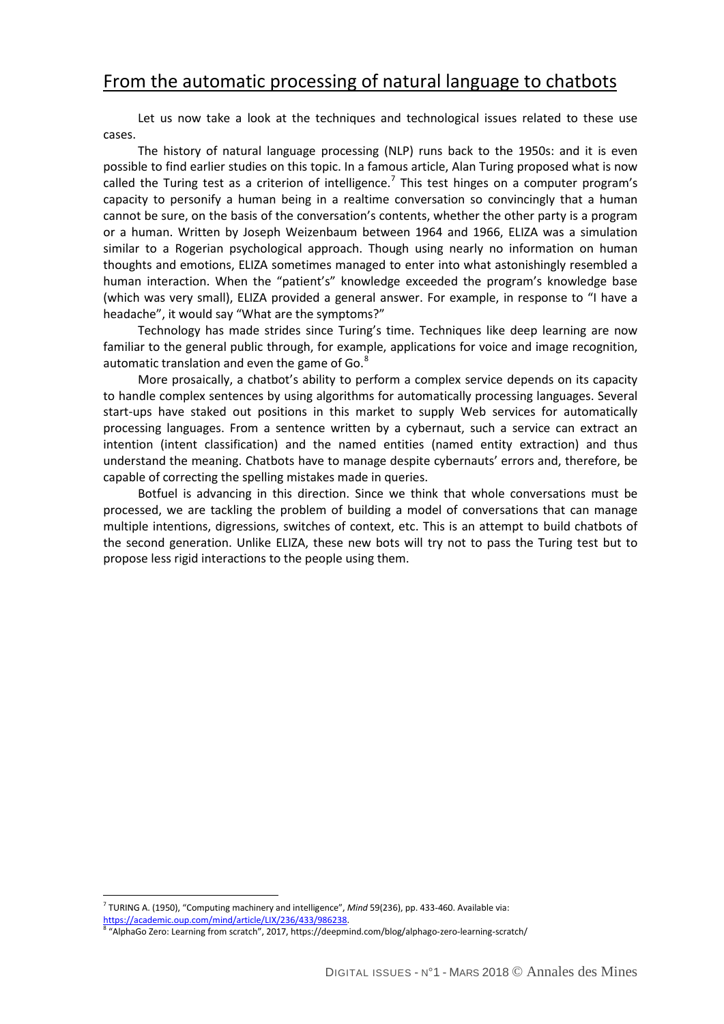# From the automatic processing of natural language to chatbots

Let us now take a look at the techniques and technological issues related to these use cases.

The history of natural language processing (NLP) runs back to the 1950s: and it is even possible to find earlier studies on this topic. In a famous article, Alan Turing proposed what is now called the Turing test as a criterion of intelligence.<sup>[7](#page-2-0)</sup> This test hinges on a computer program's capacity to personify a human being in a realtime conversation so convincingly that a human cannot be sure, on the basis of the conversation's contents, whether the other party is a program or a human. Written by Joseph Weizenbaum between 1964 and 1966, ELIZA was a simulation similar to a Rogerian psychological approach. Though using nearly no information on human thoughts and emotions, ELIZA sometimes managed to enter into what astonishingly resembled a human interaction. When the "patient's" knowledge exceeded the program's knowledge base (which was very small), ELIZA provided a general answer. For example, in response to "I have a headache", it would say "What are the symptoms?"

Technology has made strides since Turing's time. Techniques like deep learning are now familiar to the general public through, for example, applications for voice and image recognition, automatic translation and even the game of Go. $^8$  $^8$ 

More prosaically, a chatbot's ability to perform a complex service depends on its capacity to handle complex sentences by using algorithms for automatically processing languages. Several start-ups have staked out positions in this market to supply Web services for automatically processing languages. From a sentence written by a cybernaut, such a service can extract an intention (intent classification) and the named entities (named entity extraction) and thus understand the meaning. Chatbots have to manage despite cybernauts' errors and, therefore, be capable of correcting the spelling mistakes made in queries.

Botfuel is advancing in this direction. Since we think that whole conversations must be processed, we are tackling the problem of building a model of conversations that can manage multiple intentions, digressions, switches of context, etc. This is an attempt to build chatbots of the second generation. Unlike ELIZA, these new bots will try not to pass the Turing test but to propose less rigid interactions to the people using them.

 $\overline{a}$ 

<span id="page-2-0"></span><sup>&</sup>lt;sup>7</sup> TURING A. (1950), "Computing machinery and intelligence", *Mind* 59(236), pp. 433-460. Available via:<br>https://academic.oup.com/mind/article/LIX/236/433/986238.<br><sup>8</sup> "AlphaGo Zaro: Locysian for un sunt in" COLE.

<span id="page-2-1"></span>[https://academic.oup.com/mind/article/LIX/236/433/986238.](https://academic.oup.com/mind/article/LIX/236/433/986238) 8 "AlphaGo Zero: Learning from scratch", 2017, https://deepmind.com/blog/alphago-zero-learning-scratch/